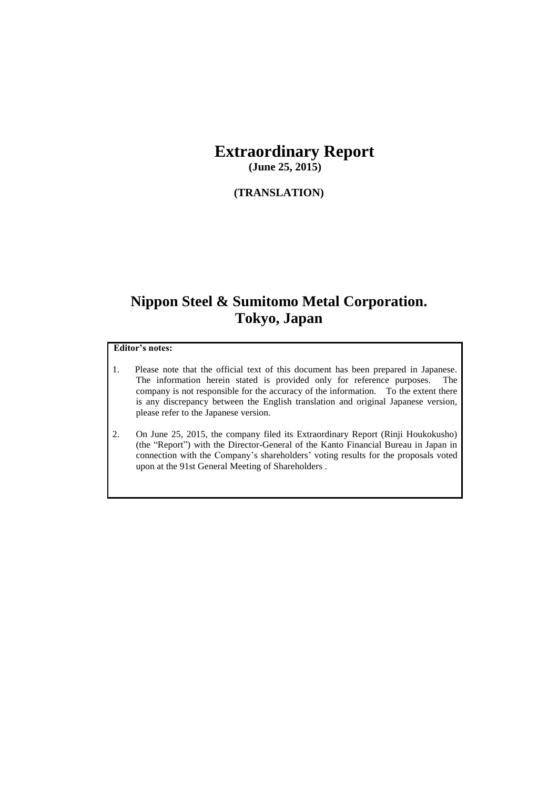## **Extraordinary Report (June 25, 2015)**

**(TRANSLATION)**

# **Nippon Steel & Sumitomo Metal Corporation. Tokyo, Japan**

#### **Editor's notes:**

- 1. Please note that the official text of this document has been prepared in Japanese. The information herein stated is provided only for reference purposes. The company is not responsible for the accuracy of the information. To the extent there is any discrepancy between the English translation and original Japanese version, please refer to the Japanese version.
- 2. On June 25, 2015, the company filed its Extraordinary Report (Rinji Houkokusho) (the "Report") with the Director-General of the Kanto Financial Bureau in Japan in connection with the Company's shareholders' voting results for the proposals voted upon at the 91st General Meeting of Shareholders .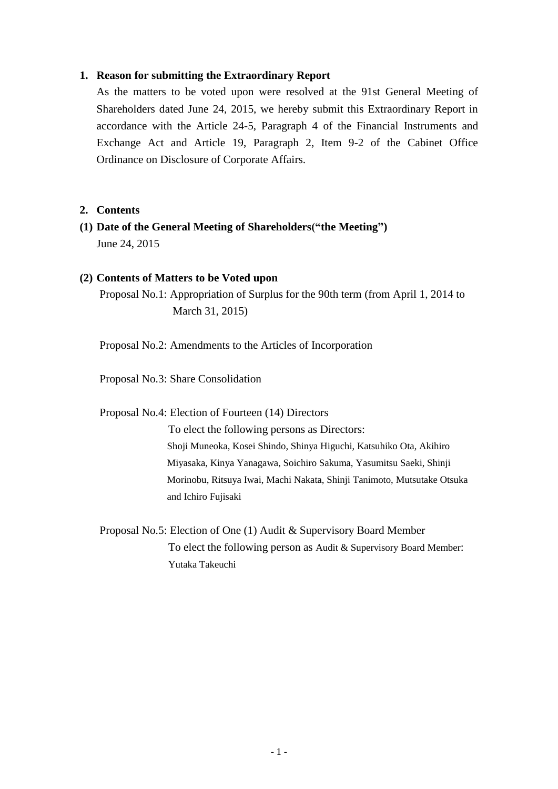#### **1. Reason for submitting the Extraordinary Report**

As the matters to be voted upon were resolved at the 91st General Meeting of Shareholders dated June 24, 2015, we hereby submit this Extraordinary Report in accordance with the Article 24-5, Paragraph 4 of the Financial Instruments and Exchange Act and Article 19, Paragraph 2, Item 9-2 of the Cabinet Office Ordinance on Disclosure of Corporate Affairs.

#### **2. Contents**

**(1) Date of the General Meeting of Shareholders("the Meeting")**  June 24, 2015

#### **(2) Contents of Matters to be Voted upon**

Proposal No.1: Appropriation of Surplus for the 90th term (from April 1, 2014 to March 31, 2015)

Proposal No.2: Amendments to the Articles of Incorporation

Proposal No.3: Share Consolidation

Proposal No.4: Election of Fourteen (14) Directors

To elect the following persons as Directors: Shoji Muneoka, Kosei Shindo, Shinya Higuchi, Katsuhiko Ota, Akihiro Miyasaka, Kinya Yanagawa, Soichiro Sakuma, Yasumitsu Saeki, Shinji Morinobu, Ritsuya Iwai, Machi Nakata, Shinji Tanimoto, Mutsutake Otsuka and Ichiro Fujisaki

Proposal No.5: Election of One (1) Audit & Supervisory Board Member To elect the following person as Audit & Supervisory Board Member: Yutaka Takeuchi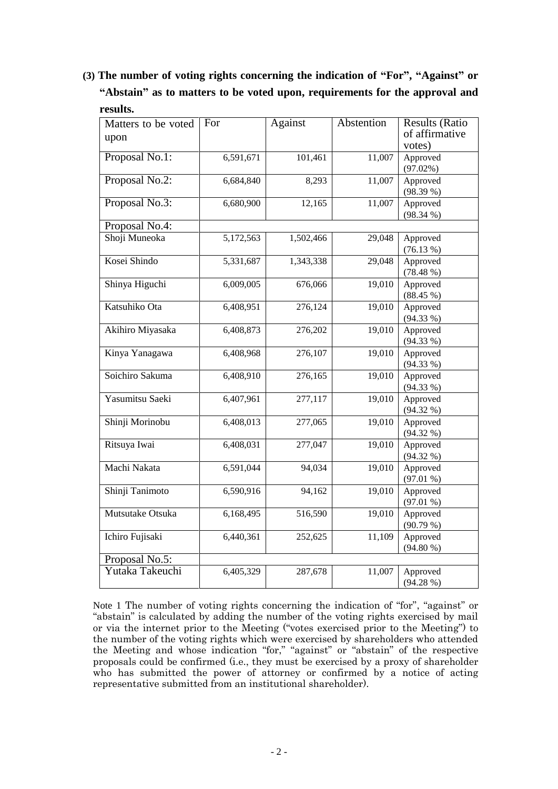## **(3) The number of voting rights concerning the indication of "For", "Against" or "Abstain" as to matters to be voted upon, requirements for the approval and results.**

| Matters to be voted | For       | Against   | Abstention | <b>Results (Ratio</b> |
|---------------------|-----------|-----------|------------|-----------------------|
| upon                |           |           |            | of affirmative        |
|                     |           |           |            | votes)                |
| Proposal No.1:      | 6,591,671 | 101,461   | 11,007     | Approved              |
|                     |           |           |            | $(97.02\%)$           |
| Proposal No.2:      | 6,684,840 | 8,293     | 11,007     | Approved              |
|                     |           |           |            | (98.39%               |
| Proposal No.3:      | 6,680,900 | 12,165    | 11,007     | Approved              |
|                     |           |           |            | $(98.34\%)$           |
| Proposal No.4:      |           |           |            |                       |
| Shoji Muneoka       | 5,172,563 | 1,502,466 | 29,048     | Approved              |
|                     |           |           |            | $(76.13\%)$           |
| Kosei Shindo        | 5,331,687 | 1,343,338 | 29,048     | Approved              |
|                     |           |           |            | $(78.48\%)$           |
| Shinya Higuchi      | 6,009,005 | 676,066   | 19,010     | Approved              |
|                     |           |           |            | $(88.45\%)$           |
| Katsuhiko Ota       | 6,408,951 | 276,124   | 19,010     | Approved              |
|                     |           |           |            | $(94.33\%)$           |
| Akihiro Miyasaka    | 6,408,873 | 276,202   | 19,010     | Approved              |
|                     |           |           |            | $(94.33\%)$           |
| Kinya Yanagawa      | 6,408,968 | 276,107   | 19,010     | Approved              |
|                     |           |           |            | $(94.33\%)$           |
| Soichiro Sakuma     | 6,408,910 | 276,165   | 19,010     | Approved              |
|                     |           |           |            | $(94.33\%)$           |
| Yasumitsu Saeki     | 6,407,961 | 277,117   | 19,010     | Approved              |
|                     |           |           |            | $(94.32\% )$          |
| Shinji Morinobu     | 6,408,013 | 277,065   | 19,010     | Approved              |
|                     |           |           |            | $(94.32\%)$           |
| Ritsuya Iwai        | 6,408,031 | 277,047   | 19,010     | Approved              |
|                     |           |           |            | $(94.32\% )$          |
| Machi Nakata        | 6,591,044 | 94,034    | 19,010     | Approved              |
|                     |           |           |            | $(97.01\%)$           |
| Shinji Tanimoto     | 6,590,916 | 94,162    | 19,010     | Approved              |
|                     |           |           |            | $(97.01\%)$           |
| Mutsutake Otsuka    | 6,168,495 | 516,590   | 19,010     | Approved              |
|                     |           |           |            | $(90.79\%)$           |
| Ichiro Fujisaki     | 6,440,361 | 252,625   | 11,109     | Approved              |
|                     |           |           |            | (94.80%               |
| Proposal No.5:      |           |           |            |                       |
| Yutaka Takeuchi     | 6,405,329 | 287,678   | 11,007     | Approved              |
|                     |           |           |            | $(94.28\%)$           |
|                     |           |           |            |                       |

Note 1 The number of voting rights concerning the indication of "for", "against" or "abstain" is calculated by adding the number of the voting rights exercised by mail or via the internet prior to the Meeting ("votes exercised prior to the Meeting") to the number of the voting rights which were exercised by shareholders who attended the Meeting and whose indication "for," "against" or "abstain" of the respective proposals could be confirmed (i.e., they must be exercised by a proxy of shareholder who has submitted the power of attorney or confirmed by a notice of acting representative submitted from an institutional shareholder).